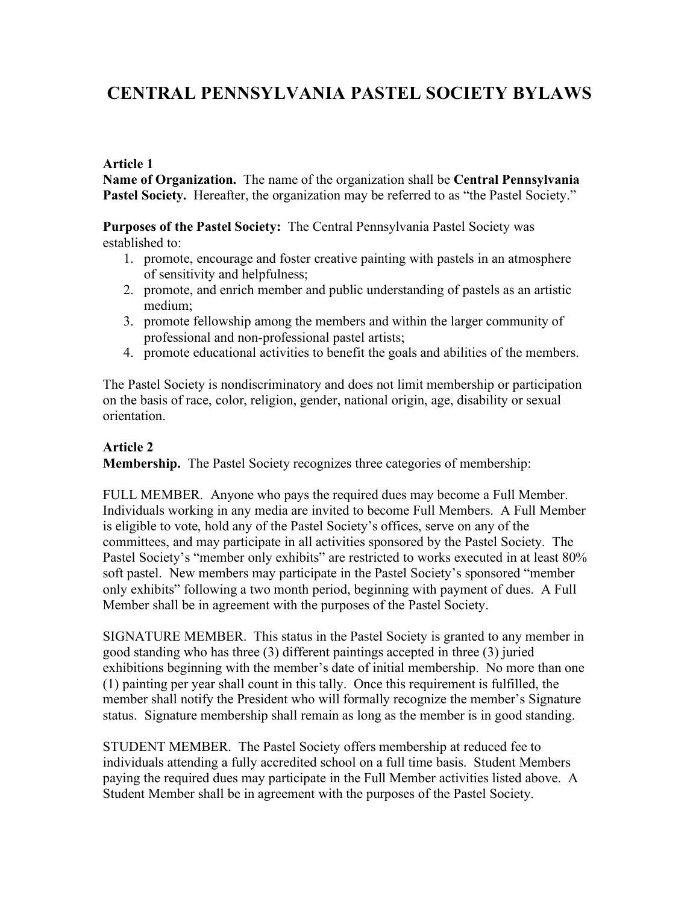# **CENTRAL PENNSYLVANIA PASTEL SOCIETY BYLAWS**

#### **Article 1**

**Name of Organization.** The name of the organization shall be **Central Pennsylvania Pastel Society.** Hereafter, the organization may be referred to as "the Pastel Society."

**Purposes of the Pastel Society:** The Central Pennsylvania Pastel Society was established to:

- 1. promote, encourage and foster creative painting with pastels in an atmosphere of sensitivity and helpfulness;
- 2. promote, and enrich member and public understanding of pastels as an artistic medium;
- 3. promote fellowship among the members and within the larger community of professional and non-professional pastel artists;
- 4. promote educational activities to benefit the goals and abilities of the members.

The Pastel Society is nondiscriminatory and does not limit membership or participation on the basis of race, color, religion, gender, national origin, age, disability or sexual orientation.

# **Article 2**

**Membership.** The Pastel Society recognizes three categories of membership:

FULL MEMBER. Anyone who pays the required dues may become a Full Member. Individuals working in any media are invited to become Full Members. A Full Member is eligible to vote, hold any of the Pastel Society's offices, serve on any of the committees, and may participate in all activities sponsored by the Pastel Society. The Pastel Society's "member only exhibits" are restricted to works executed in at least 80% soft pastel. New members may participate in the Pastel Society's sponsored "member only exhibits" following a two month period, beginning with payment of dues. A Full Member shall be in agreement with the purposes of the Pastel Society.

SIGNATURE MEMBER. This status in the Pastel Society is granted to any member in good standing who has three (3) different paintings accepted in three (3) juried exhibitions beginning with the member's date of initial membership. No more than one (1) painting per year shall count in this tally. Once this requirement is fulfilled, the member shall notify the President who will formally recognize the member's Signature status. Signature membership shall remain as long as the member is in good standing.

STUDENT MEMBER. The Pastel Society offers membership at reduced fee to individuals attending a fully accredited school on a full time basis. Student Members paying the required dues may participate in the Full Member activities listed above. A Student Member shall be in agreement with the purposes of the Pastel Society.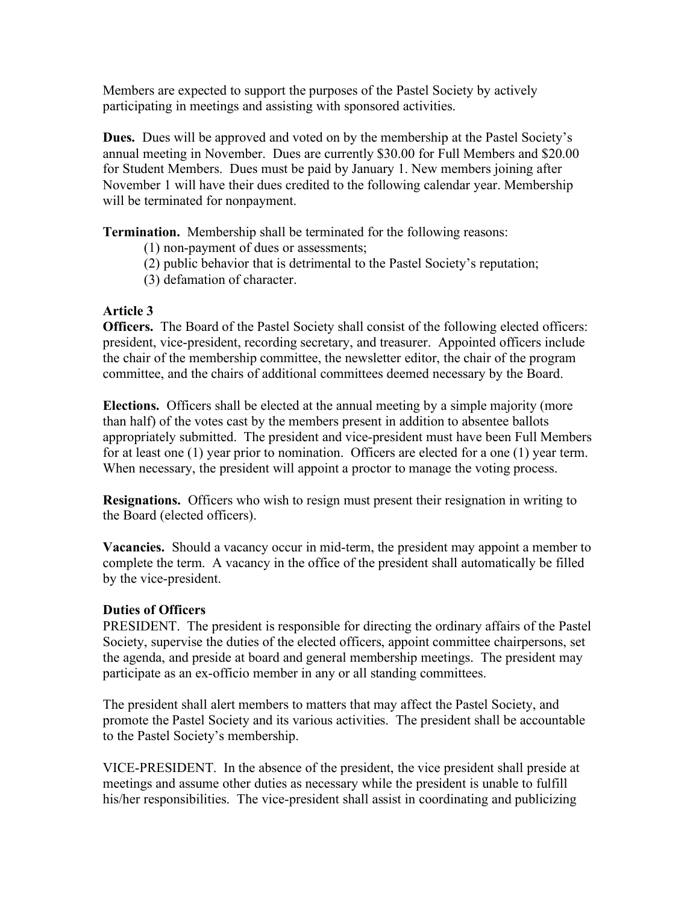Members are expected to support the purposes of the Pastel Society by actively participating in meetings and assisting with sponsored activities.

**Dues.** Dues will be approved and voted on by the membership at the Pastel Society's annual meeting in November. Dues are currently \$30.00 for Full Members and \$20.00 for Student Members. Dues must be paid by January 1. New members joining after November 1 will have their dues credited to the following calendar year. Membership will be terminated for nonpayment.

**Termination.** Membership shall be terminated for the following reasons:

- (1) non-payment of dues or assessments;
- (2) public behavior that is detrimental to the Pastel Society's reputation;
- (3) defamation of character.

#### **Article 3**

**Officers.** The Board of the Pastel Society shall consist of the following elected officers: president, vice-president, recording secretary, and treasurer. Appointed officers include the chair of the membership committee, the newsletter editor, the chair of the program committee, and the chairs of additional committees deemed necessary by the Board.

**Elections.** Officers shall be elected at the annual meeting by a simple majority (more than half) of the votes cast by the members present in addition to absentee ballots appropriately submitted. The president and vice-president must have been Full Members for at least one (1) year prior to nomination. Officers are elected for a one (1) year term. When necessary, the president will appoint a proctor to manage the voting process.

**Resignations.** Officers who wish to resign must present their resignation in writing to the Board (elected officers).

**Vacancies.** Should a vacancy occur in mid-term, the president may appoint a member to complete the term. A vacancy in the office of the president shall automatically be filled by the vice-president.

#### **Duties of Officers**

PRESIDENT. The president is responsible for directing the ordinary affairs of the Pastel Society, supervise the duties of the elected officers, appoint committee chairpersons, set the agenda, and preside at board and general membership meetings. The president may participate as an ex-officio member in any or all standing committees.

The president shall alert members to matters that may affect the Pastel Society, and promote the Pastel Society and its various activities. The president shall be accountable to the Pastel Society's membership.

VICE-PRESIDENT. In the absence of the president, the vice president shall preside at meetings and assume other duties as necessary while the president is unable to fulfill his/her responsibilities. The vice-president shall assist in coordinating and publicizing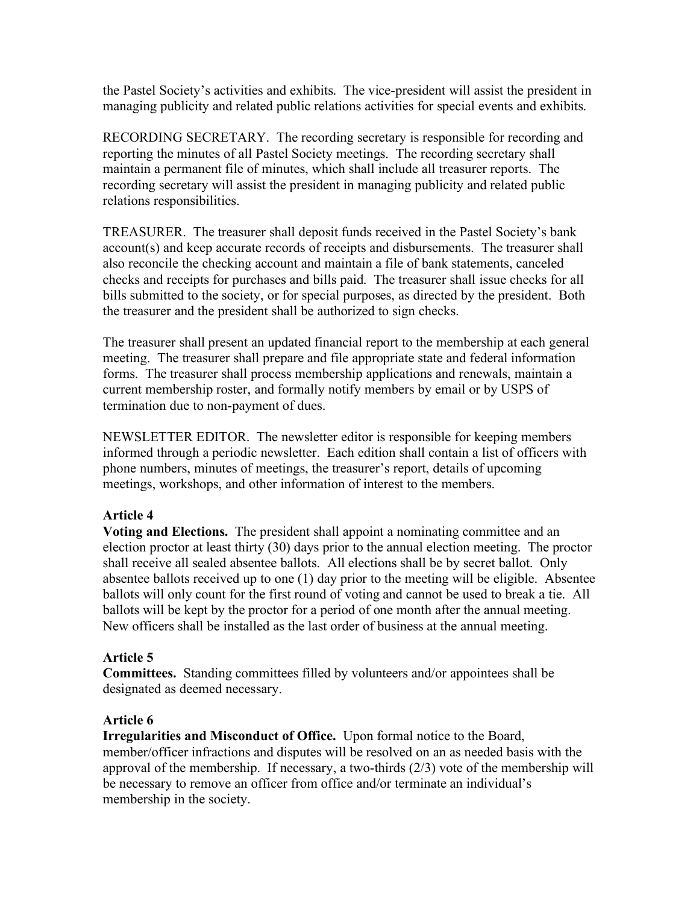the Pastel Society's activities and exhibits. The vice-president will assist the president in managing publicity and related public relations activities for special events and exhibits.

RECORDING SECRETARY. The recording secretary is responsible for recording and reporting the minutes of all Pastel Society meetings. The recording secretary shall maintain a permanent file of minutes, which shall include all treasurer reports. The recording secretary will assist the president in managing publicity and related public relations responsibilities.

TREASURER. The treasurer shall deposit funds received in the Pastel Society's bank account(s) and keep accurate records of receipts and disbursements. The treasurer shall also reconcile the checking account and maintain a file of bank statements, canceled checks and receipts for purchases and bills paid. The treasurer shall issue checks for all bills submitted to the society, or for special purposes, as directed by the president. Both the treasurer and the president shall be authorized to sign checks.

The treasurer shall present an updated financial report to the membership at each general meeting. The treasurer shall prepare and file appropriate state and federal information forms. The treasurer shall process membership applications and renewals, maintain a current membership roster, and formally notify members by email or by USPS of termination due to non-payment of dues.

NEWSLETTER EDITOR. The newsletter editor is responsible for keeping members informed through a periodic newsletter. Each edition shall contain a list of officers with phone numbers, minutes of meetings, the treasurer's report, details of upcoming meetings, workshops, and other information of interest to the members.

## **Article 4**

**Voting and Elections.** The president shall appoint a nominating committee and an election proctor at least thirty (30) days prior to the annual election meeting. The proctor shall receive all sealed absentee ballots. All elections shall be by secret ballot. Only absentee ballots received up to one (1) day prior to the meeting will be eligible. Absentee ballots will only count for the first round of voting and cannot be used to break a tie. All ballots will be kept by the proctor for a period of one month after the annual meeting. New officers shall be installed as the last order of business at the annual meeting.

## **Article 5**

**Committees.** Standing committees filled by volunteers and/or appointees shall be designated as deemed necessary.

## **Article 6**

**Irregularities and Misconduct of Office.** Upon formal notice to the Board, member/officer infractions and disputes will be resolved on an as needed basis with the approval of the membership. If necessary, a two-thirds (2/3) vote of the membership will be necessary to remove an officer from office and/or terminate an individual's membership in the society.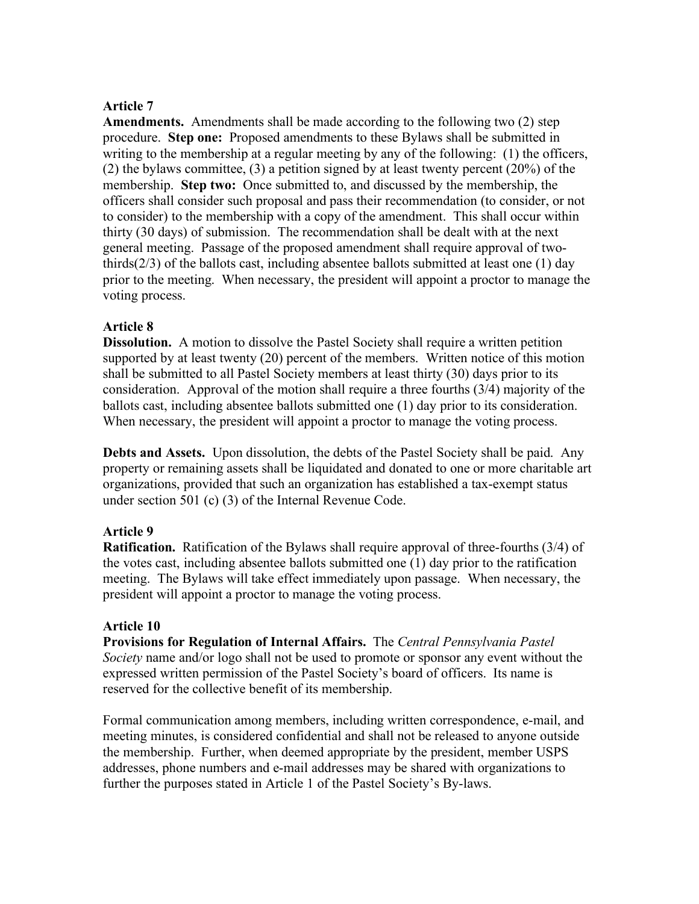#### **Article 7**

**Amendments.** Amendments shall be made according to the following two (2) step procedure. **Step one:** Proposed amendments to these Bylaws shall be submitted in writing to the membership at a regular meeting by any of the following: (1) the officers, (2) the bylaws committee, (3) a petition signed by at least twenty percent (20%) of the membership. **Step two:** Once submitted to, and discussed by the membership, the officers shall consider such proposal and pass their recommendation (to consider, or not to consider) to the membership with a copy of the amendment. This shall occur within thirty (30 days) of submission. The recommendation shall be dealt with at the next general meeting. Passage of the proposed amendment shall require approval of twothirds(2/3) of the ballots cast, including absentee ballots submitted at least one (1) day prior to the meeting. When necessary, the president will appoint a proctor to manage the voting process.

#### **Article 8**

**Dissolution.** A motion to dissolve the Pastel Society shall require a written petition supported by at least twenty (20) percent of the members. Written notice of this motion shall be submitted to all Pastel Society members at least thirty (30) days prior to its consideration. Approval of the motion shall require a three fourths (3/4) majority of the ballots cast, including absentee ballots submitted one (1) day prior to its consideration. When necessary, the president will appoint a proctor to manage the voting process.

**Debts and Assets.** Upon dissolution, the debts of the Pastel Society shall be paid. Any property or remaining assets shall be liquidated and donated to one or more charitable art organizations, provided that such an organization has established a tax-exempt status under section 501 (c) (3) of the Internal Revenue Code.

## **Article 9**

**Ratification.** Ratification of the Bylaws shall require approval of three-fourths (3/4) of the votes cast, including absentee ballots submitted one (1) day prior to the ratification meeting. The Bylaws will take effect immediately upon passage. When necessary, the president will appoint a proctor to manage the voting process.

#### **Article 10**

**Provisions for Regulation of Internal Affairs.** The *Central Pennsylvania Pastel Society* name and/or logo shall not be used to promote or sponsor any event without the expressed written permission of the Pastel Society's board of officers. Its name is reserved for the collective benefit of its membership.

Formal communication among members, including written correspondence, e-mail, and meeting minutes, is considered confidential and shall not be released to anyone outside the membership. Further, when deemed appropriate by the president, member USPS addresses, phone numbers and e-mail addresses may be shared with organizations to further the purposes stated in Article 1 of the Pastel Society's By-laws.